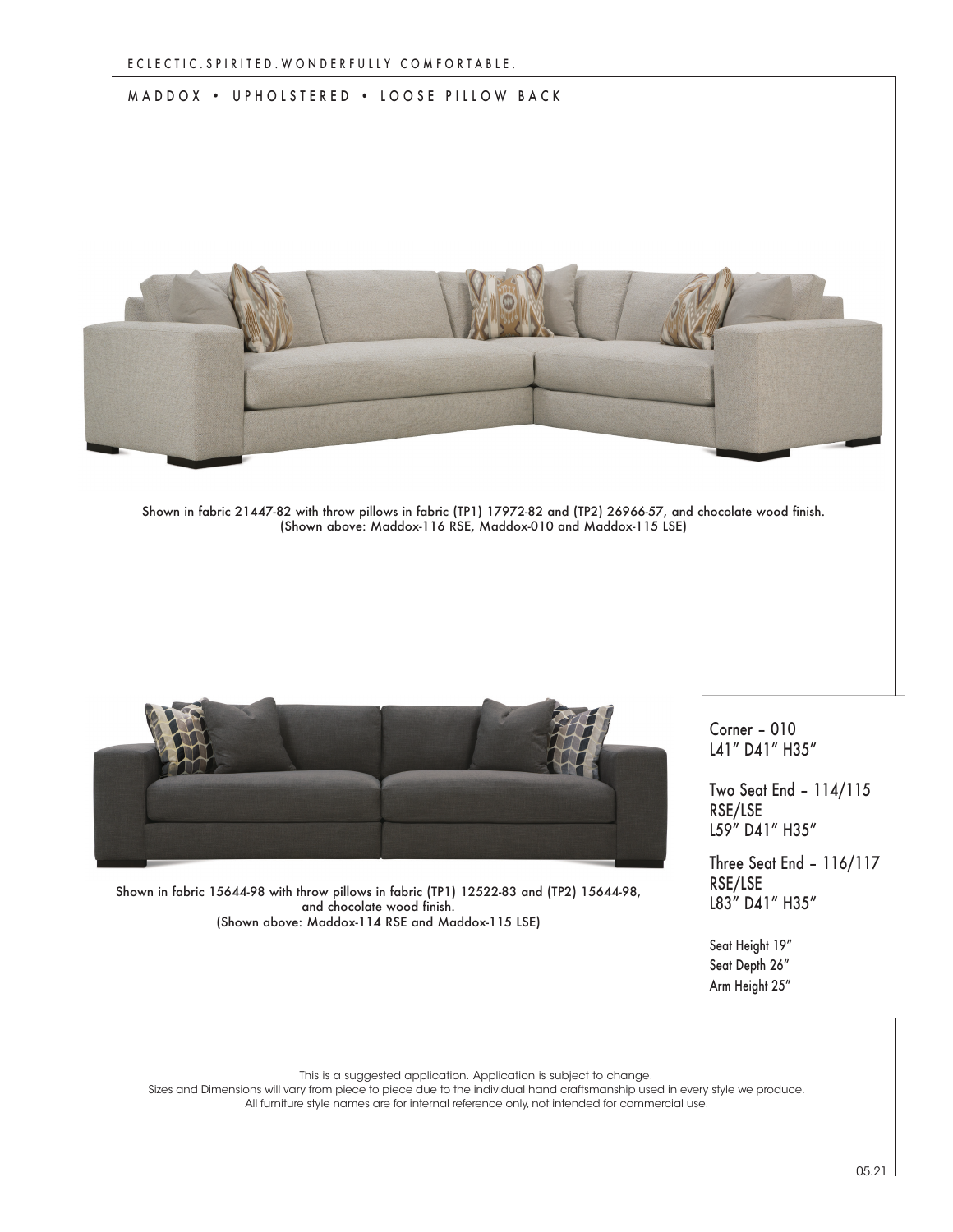## MADDOX • UPHOLSTERED • LOOSE PILLOW BACK



Shown in fabric 21447-82 with throw pillows in fabric (TP1) 17972-82 and (TP2) 26966-57, and chocolate wood finish. (Shown above: Maddox-116 RSE, Maddox-010 and Maddox-115 LSE)



Corner – 010 L41" D41" H35"

Two Seat End – 114/115 RSE/LSE L59" D41" H35"

Three Seat End – 116/117 RSE/LSE L83" D41" H35"

Shown in fabric 15644-98 with throw pillows in fabric (TP1) 12522-83 and (TP2) 15644-98, and chocolate wood finish. (Shown above: Maddox-114 RSE and Maddox-115 LSE)

> Seat Height 19" Seat Depth 26" Arm Height 25"

This is a suggested application. Application is subject to change.

Sizes and Dimensions will vary from piece to piece due to the individual hand craftsmanship used in every style we produce. All furniture style names are for internal reference only, not intended for commercial use.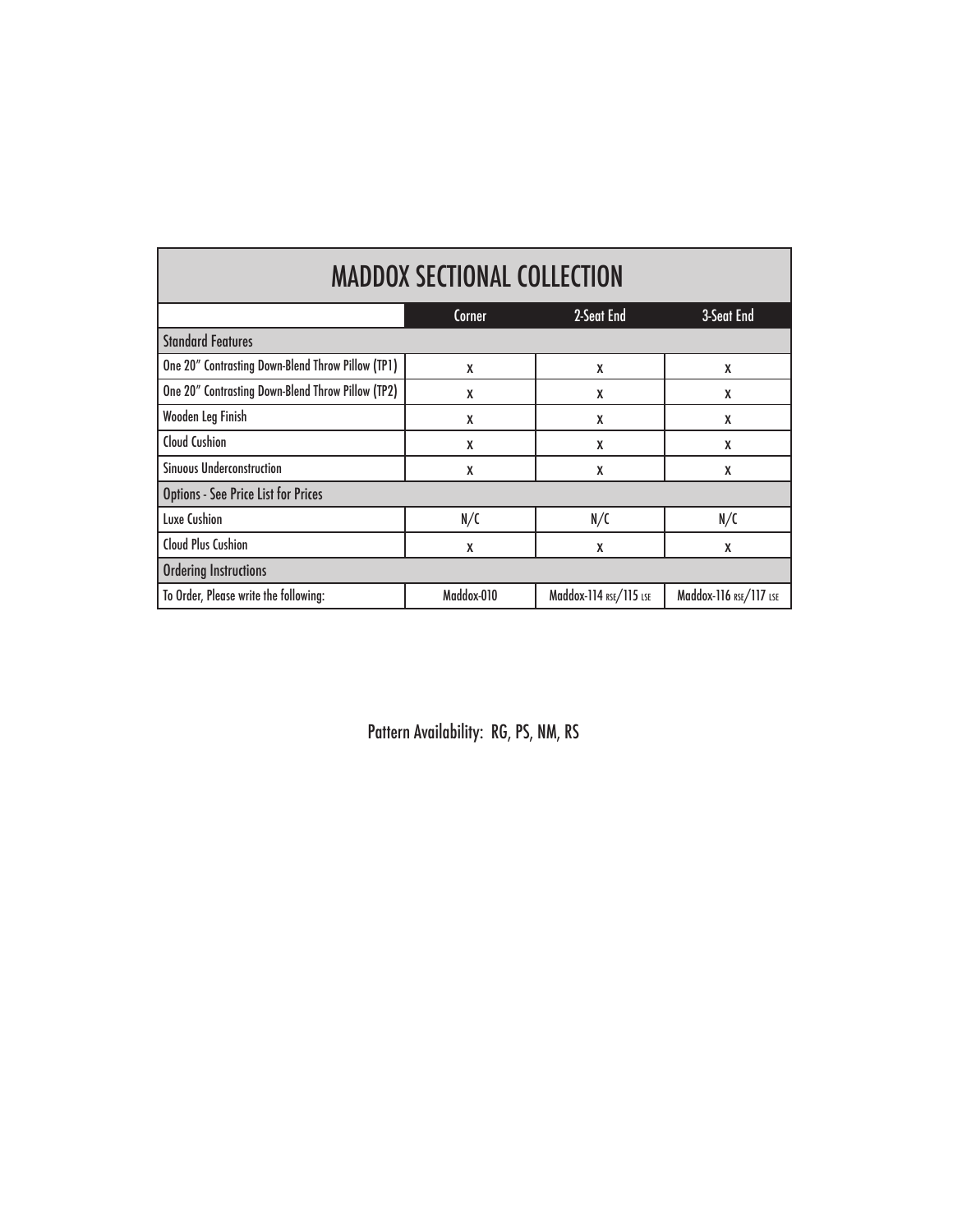| <b>MADDOX SECTIONAL COLLECTION</b>                |        |            |            |  |
|---------------------------------------------------|--------|------------|------------|--|
|                                                   | Corner | 2-Seat End | 3-Seat End |  |
| Standard Features                                 |        |            |            |  |
| One 20" Contrasting Down-Blend Throw Pillow (TP1) |        |            |            |  |
| One 20" Contrasting Down-Blend Throw Pillow (TP2) |        |            |            |  |
|                                                   |        |            |            |  |

| One 20" Contrasting Down-Blend Throw Pillow (TP2) | χ          | X                      | X                      |  |
|---------------------------------------------------|------------|------------------------|------------------------|--|
| Wooden Leg Finish                                 | χ          | X                      | X                      |  |
| <b>Cloud Cushion</b>                              | X          | χ                      | X                      |  |
| <b>Sinuous Underconstruction</b>                  | X          | χ                      | X                      |  |
| <b>Options - See Price List for Prices</b>        |            |                        |                        |  |
| <b>Luxe Cushion</b>                               | N/C        | N/C                    | N/C                    |  |
| <b>Cloud Plus Cushion</b>                         | χ          | X                      | X                      |  |
| <b>Ordering Instructions</b>                      |            |                        |                        |  |
| To Order, Please write the following:             | Maddox-010 | Maddox-114 RSE/115 LSE | Maddox-116 RSE/117 LSE |  |

Pattern Availability: RG, PS, NM, RS